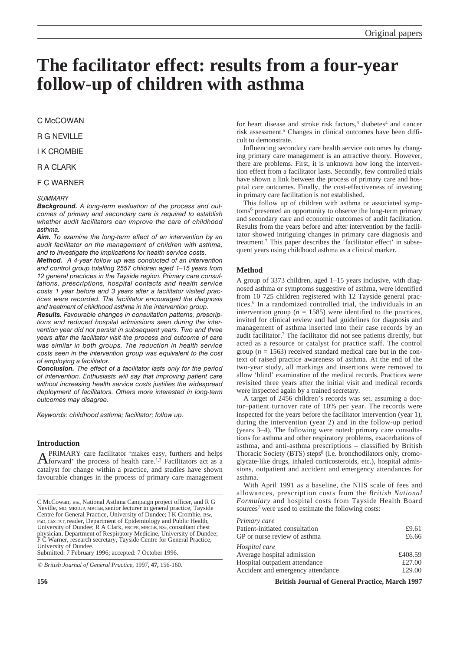# **The facilitator effect: results from a four-year follow-up of children with asthma**

C McCOWAN

R G NEVILLE

I K CROMBIE

R A CLARK

F C WARNER

## *SUMMARY*

*Background. A long-term evaluation of the process and outcomes of primary and secondary care is required to establish whether audit facilitators can improve the care of childhood asthma.*

*Aim. To examine the long-term effect of an intervention by an audit facilitator on the management of children with asthma, and to investigate the implications for health service costs.*

*Method. A 4-year follow up was conducted of an intervention and control group totalling 2557 children aged 1–15 years from 12 general practices in the Tayside region. Primary care consultations, prescriptions, hospital contacts and health service costs 1 year before and 3 years after a facilitator visited practices were recorded. The facilitator encouraged the diagnosis and treatment of childhood asthma in the intervention group.*

*Results. Favourable changes in consultation patterns, prescriptions and reduced hospital admissions seen during the intervention year did not persist in subsequent years. Two and three years after the facilitator visit the process and outcome of care was similar in both groups. The reduction in health service costs seen in the intervention group was equivalent to the cost of employing a facilitator.*

*Conclusion. The effect of a facilitator lasts only for the period of intervention. Enthusiasts will say that improving patient care without increasing health service costs justifies the widespread deployment of facilitators. Others more interested in long-term outcomes may disagree.*

*Keywords: childhood asthma; facilitator; follow up.*

## **Introduction**

 $A$ <sup>PRIMARY</sup> care facilitator 'makes easy, furthers and helps forward' the process of health care.<sup>1,2</sup> Facilitators act as a catalyst for change within a practice, and studies have shown favourable changes in the process of primary care management

© *British Journal of General Practice,* 1997, **47,** 156-160.

for heart disease and stroke risk factors,  $3$  diabetes<sup>4</sup> and cancer risk assessment.<sup>5</sup> Changes in clinical outcomes have been difficult to demonstrate.

Influencing secondary care health service outcomes by changing primary care management is an attractive theory. However, there are problems. First, it is unknown how long the intervention effect from a facilitator lasts. Secondly, few controlled trials have shown a link between the process of primary care and hospital care outcomes. Finally, the cost-effectiveness of investing in primary care facilitation is not established.

This follow up of children with asthma or associated symptoms6 presented an opportunity to observe the long-term primary and secondary care and economic outcomes of audit facilitation. Results from the years before and after intervention by the facilitator showed intriguing changes in primary care diagnosis and treatment.7 This paper describes the 'facilitator effect' in subsequent years using childhood asthma as a clinical marker.

## **Method**

A group of 3373 children, aged 1–15 years inclusive, with diagnosed asthma or symptoms suggestive of asthma, were identified from 10 725 children registered with 12 Tayside general practices.6 In a randomized controlled trial, the individuals in an intervention group ( $n = 1585$ ) were identified to the practices, invited for clinical review and had guidelines for diagnosis and management of asthma inserted into their case records by an audit facilitator.7 The facilitator did not see patients directly, but acted as a resource or catalyst for practice staff. The control group ( $n = 1563$ ) received standard medical care but in the context of raised practice awareness of asthma. At the end of the two-year study, all markings and insertions were removed to allow 'blind' examination of the medical records. Practices were revisited three years after the initial visit and medical records were inspected again by a trained secretary.

A target of 2456 children's records was set, assuming a doctor–patient turnover rate of 10% per year. The records were inspected for the years before the facilitator intervention (year 1), during the intervention (year 2) and in the follow-up period (years 3–4). The following were noted: primary care consultations for asthma and other respiratory problems, exacerbations of asthma, and anti-asthma prescriptions – classified by British Thoracic Society (BTS) steps<sup>8</sup> (i.e. bronchodilators only, cromoglycate-like drugs, inhaled corticosteroids, etc.), hospital admissions, outpatient and accident and emergency attendances for asthma.

With April 1991 as a baseline, the NHS scale of fees and allowances, prescription costs from the *British National Formulary* and hospital costs from Tayside Health Board sources<sup>7</sup> were used to estimate the following costs:

| Primary care                      |         |
|-----------------------------------|---------|
| Patient-initiated consultation    | £9.61   |
| GP or nurse review of asthma      | £6.66   |
| Hospital care                     |         |
| Average hospital admission        | £408.59 |
| Hospital outpatient attendance    | £27.00  |
| Accident and emergency attendance | £29.00  |
|                                   |         |

**156 British Journal of General Practice, March 1997**

C McCowan, BSc, National Asthma Campaign project officer, and R G Neville, MD, MRCGP, MBChB, senior lecturer in general practice, Tayside Centre for General Practice, University of Dundee; I K Crombie, BSc, PhD, ChSTAT, reader, Department of Epidemiology and Public Health, University of Dundee; R A Clark, FRCPE, MBChB, BSc, consultant chest physician, Department of Respiratory Medicine, University of Dundee; F C Warner, research secretary, Tayside Centre for General Practice, University of Dundee. Submitted: 7 February 1996; accepted: 7 October 1996.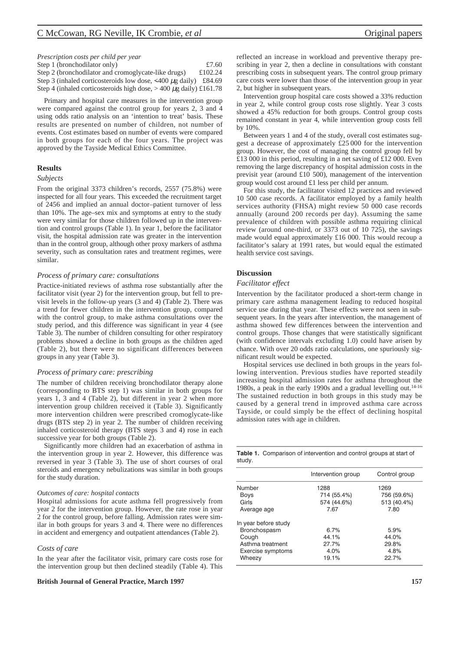| Prescription costs per child per year                                   |         |
|-------------------------------------------------------------------------|---------|
| Step 1 (bronchodilator only)                                            | £7.60   |
| Step 2 (bronchodilator and cromoglycate-like drugs)                     | £102.24 |
| Step 3 (inhaled corticosteroids low dose, $\leq 400 \mu$ g daily)       | £84.69  |
| Step 4 (inhaled corticosteroids high dose, $> 400 \mu$ g daily) £161.78 |         |

Primary and hospital care measures in the intervention group were compared against the control group for years 2, 3 and 4 using odds ratio analysis on an 'intention to treat' basis. These results are presented on number of children, not number of events. Cost estimates based on number of events were compared in both groups for each of the four years. The project was approved by the Tayside Medical Ethics Committee.

## **Results**

#### *Subjects*

From the original 3373 children's records, 2557 (75.8%) were inspected for all four years. This exceeded the recruitment target of 2456 and implied an annual doctor–patient turnover of less than 10%. The age–sex mix and symptoms at entry to the study were very similar for those children followed up in the intervention and control groups (Table 1). In year 1, before the facilitator visit, the hospital admission rate was greater in the intervention than in the control group, although other proxy markers of asthma severity, such as consultation rates and treatment regimes, were similar.

#### *Process of primary care: consultations*

Practice-initiated reviews of asthma rose substantially after the facilitator visit (year 2) for the intervention group, but fell to previsit levels in the follow-up years (3 and 4) (Table 2). There was a trend for fewer children in the intervention group, compared with the control group, to make asthma consultations over the study period, and this difference was significant in year 4 (see Table 3). The number of children consulting for other respiratory problems showed a decline in both groups as the children aged (Table 2), but there were no significant differences between groups in any year (Table 3).

#### *Process of primary care: prescribing*

The number of children receiving bronchodilator therapy alone (corresponding to BTS step 1) was similar in both groups for years 1, 3 and 4 (Table 2), but different in year 2 when more intervention group children received it (Table 3). Significantly more intervention children were prescribed cromoglycate-like drugs (BTS step 2) in year 2. The number of children receiving inhaled corticosteroid therapy (BTS steps 3 and 4) rose in each successive year for both groups (Table 2).

Significantly more children had an exacerbation of asthma in the intervention group in year 2. However, this difference was reversed in year 3 (Table 3). The use of short courses of oral steroids and emergency nebulizations was similar in both groups for the study duration.

#### *Outcomes of care: hospital contacts*

Hospital admissions for acute asthma fell progressively from year 2 for the intervention group. However, the rate rose in year 2 for the control group, before falling. Admission rates were similar in both groups for years 3 and 4. There were no differences in accident and emergency and outpatient attendances (Table 2).

#### *Costs of care*

In the year after the facilitator visit, primary care costs rose for the intervention group but then declined steadily (Table 4). This

### **British Journal of General Practice, March 1997 157**

reflected an increase in workload and preventive therapy prescribing in year 2, then a decline in consultations with constant prescribing costs in subsequent years. The control group primary care costs were lower than those of the intervention group in year 2, but higher in subsequent years.

Intervention group hospital care costs showed a 33% reduction in year 2, while control group costs rose slightly. Year 3 costs showed a 45% reduction for both groups. Control group costs remained constant in year 4, while intervention group costs fell by 10%.

Between years 1 and 4 of the study, overall cost estimates suggest a decrease of approximately £25 000 for the intervention group. However, the cost of managing the control group fell by £13 000 in this period, resulting in a net saving of £12 000. Even removing the large discrepancy of hospital admission costs in the previsit year (around £10 500), management of the intervention group would cost around £1 less per child per annum.

For this study, the facilitator visited 12 practices and reviewed 10 500 case records. A facilitator employed by a family health services authority (FHSA) might review 50 000 case records annually (around 200 records per day). Assuming the same prevalence of children with possible asthma requiring clinical review (around one-third, or 3373 out of 10 725), the savings made would equal approximately £16 000. This would recoup a facilitator's salary at 1991 rates, but would equal the estimated health service cost savings.

## **Discussion**

#### *Facilitator effect*

Intervention by the facilitator produced a short-term change in primary care asthma management leading to reduced hospital service use during that year. These effects were not seen in subsequent years. In the years after intervention, the management of asthma showed few differences between the intervention and control groups. Those changes that were statistically significant (with confidence intervals excluding 1.0) could have arisen by chance. With over 20 odds ratio calculations, one spuriously significant result would be expected.

Hospital services use declined in both groups in the years following intervention. Previous studies have reported steadily increasing hospital admission rates for asthma throughout the 1980s, a peak in the early 1990s and a gradual levelling out.<sup>14-16</sup> The sustained reduction in both groups in this study may be caused by a general trend in improved asthma care across Tayside, or could simply be the effect of declining hospital admission rates with age in children.

**Table 1.** Comparison of intervention and control groups at start of study.

|                      | Intervention group | Control group |
|----------------------|--------------------|---------------|
| Number               | 1288               | 1269          |
| Boys                 | 714 (55.4%)        | 756 (59.6%)   |
| Girls                | 574 (44.6%)        | 513 (40.4%)   |
| Average age          | 7.67               | 7.80          |
| In year before study |                    |               |
| Bronchospasm         | 6.7%               | 5.9%          |
| Cough                | 44.1%              | 44.0%         |
| Asthma treatment     | 27.7%              | 29.8%         |
| Exercise symptoms    | 4.0%               | 4.8%          |
| Wheezy               | 19.1%              | 22.7%         |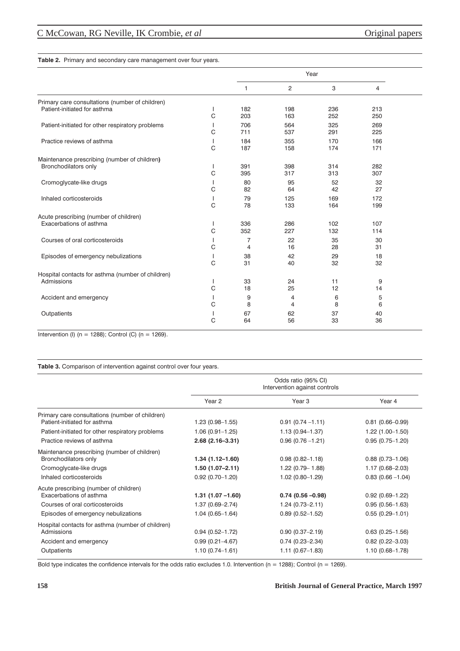## **Table 2.** Primary and secondary care management over four years.

|                                                   |         | Year       |                |            |            |  |
|---------------------------------------------------|---------|------------|----------------|------------|------------|--|
|                                                   |         | 1          | $\overline{c}$ | 3          | 4          |  |
| Primary care consultations (number of children)   |         |            |                |            |            |  |
| Patient-initiated for asthma                      | I.<br>C | 182<br>203 | 198<br>163     | 236<br>252 | 213<br>250 |  |
| Patient-initiated for other respiratory problems  | C       | 706<br>711 | 564<br>537     | 325<br>291 | 269<br>225 |  |
| Practice reviews of asthma                        | C       | 184<br>187 | 355<br>158     | 170<br>174 | 166<br>171 |  |
| Maintenance prescribing (number of children)      |         |            |                |            |            |  |
| Bronchodilators only                              | C       | 391<br>395 | 398<br>317     | 314<br>313 | 282<br>307 |  |
| Cromoglycate-like drugs                           | C       | 80<br>82   | 95<br>64       | 52<br>42   | 32<br>27   |  |
| Inhaled corticosteroids                           | C       | 79<br>78   | 125<br>133     | 169<br>164 | 172<br>199 |  |
| Acute prescribing (number of children)            |         |            |                |            |            |  |
| Exacerbations of asthma                           | C       | 336<br>352 | 286<br>227     | 102<br>132 | 107<br>114 |  |
| Courses of oral corticosteroids                   | C       | 7<br>4     | 22<br>16       | 35<br>28   | 30<br>31   |  |
| Episodes of emergency nebulizations               | C       | 38<br>31   | 42<br>40       | 29<br>32   | 18<br>32   |  |
| Hospital contacts for asthma (number of children) |         |            |                |            |            |  |
| Admissions                                        | C       | 33<br>18   | 24<br>25       | 11<br>12   | 9<br>14    |  |
| Accident and emergency                            | C       | 9<br>8     | 4<br>4         | 6<br>8     | 5<br>6     |  |
| Outpatients                                       | C       | 67<br>64   | 62<br>56       | 37<br>33   | 40<br>36   |  |

Intervention (I) ( $n = 1288$ ); Control (C) ( $n = 1269$ ).

## **Table 3.** Comparison of intervention against control over four years.

|                                                                                                                                             | Odds ratio (95% CI)<br>Intervention against controls              |                                                                   |                                                                   |
|---------------------------------------------------------------------------------------------------------------------------------------------|-------------------------------------------------------------------|-------------------------------------------------------------------|-------------------------------------------------------------------|
|                                                                                                                                             | Year <sub>2</sub>                                                 | Year <sub>3</sub>                                                 | Year 4                                                            |
| Primary care consultations (number of children)<br>Patient-initiated for asthma                                                             | $1.23(0.98 - 1.55)$                                               | $0.91(0.74 - 1.11)$                                               | $0.81(0.66 - 0.99)$                                               |
| Patient-initiated for other respiratory problems                                                                                            | $1.06(0.91 - 1.25)$                                               | $1.13(0.94 - 1.37)$                                               | $1.22(1.00-1.50)$                                                 |
| Practice reviews of asthma                                                                                                                  | $2.68(2.16-3.31)$                                                 | $0.96(0.76 - 1.21)$                                               | $0.95(0.75 - 1.20)$                                               |
| Maintenance prescribing (number of children)<br>Bronchodilators only<br>Cromoglycate-like drugs<br>Inhaled corticosteroids                  | $1.34(1.12 - 1.60)$<br>1.50 (1.07-2.11)<br>$0.92(0.70 - 1.20)$    | $0.98(0.82 - 1.18)$<br>$1.22(0.79 - 1.88)$<br>$1.02(0.80 - 1.29)$ | $0.88(0.73 - 1.06)$<br>1.17 (0.68-2.03)<br>$0.83(0.66 - 1.04)$    |
| Acute prescribing (number of children)<br>Exacerbations of asthma<br>Courses of oral corticosteroids<br>Episodes of emergency nebulizations | $1.31(1.07 - 1.60)$<br>$1.37(0.69 - 2.74)$<br>$1.04(0.65 - 1.64)$ | $0.74(0.56 - 0.98)$<br>$1.24(0.73 - 2.11)$<br>$0.89(0.52 - 1.52)$ | $0.92(0.69 - 1.22)$<br>$0.95(0.56 - 1.63)$<br>$0.55(0.29 - 1.01)$ |
| Hospital contacts for asthma (number of children)<br>Admissions<br>Accident and emergency<br>Outpatients                                    | $0.94(0.52 - 1.72)$<br>$0.99(0.21 - 4.67)$<br>$1.10(0.74 - 1.61)$ | $0.90(0.37 - 2.19)$<br>$0.74(0.23 - 2.34)$<br>$1.11(0.67 - 1.83)$ | $0.63(0.25 - 1.56)$<br>$0.82(0.22 - 3.03)$<br>$1.10(0.68 - 1.78)$ |

Bold type indicates the confidence intervals for the odds ratio excludes 1.0. Intervention (n = 1288); Control (n = 1269).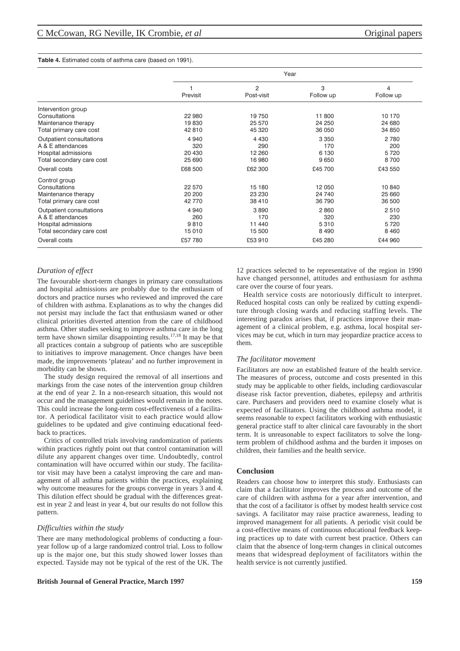#### **Table 4.** Estimated costs of asthma care (based on 1991).

|                           | Year     |                              |                |                             |
|---------------------------|----------|------------------------------|----------------|-----------------------------|
|                           | Previsit | $\overline{2}$<br>Post-visit | 3<br>Follow up | $\overline{4}$<br>Follow up |
| Intervention group        |          |                              |                |                             |
| Consultations             | 22 980   | 19750                        | 11 800         | 10 170                      |
| Maintenance therapy       | 19830    | 25 570                       | 24 250         | 24 680                      |
| Total primary care cost   | 42 810   | 45 320                       | 36 050         | 34 850                      |
| Outpatient consultations  | 4 9 4 0  | 4 4 3 0                      | 3 3 5 0        | 2 7 8 0                     |
| A & E attendances         | 320      | 290                          | 170            | 200                         |
| Hospital admissions       | 20 430   | 12 260                       | 6 1 3 0        | 5720                        |
| Total secondary care cost | 25 690   | 16980                        | 9650           | 8700                        |
| Overall costs             | £68 500  | £62 300                      | £45 700        | £43 550                     |
| Control group             |          |                              |                |                             |
| Consultations             | 22 570   | 15 180                       | 12 050         | 10 840                      |
| Maintenance therapy       | 20 200   | 23 230                       | 24 740         | 25 660                      |
| Total primary care cost   | 42 770   | 38 410                       | 36 790         | 36 500                      |
| Outpatient consultations  | 4 9 4 0  | 3890                         | 2860           | 2510                        |
| A & E attendances         | 260      | 170                          | 320            | 230                         |
| Hospital admissions       | 9810     | 11 440                       | 5310           | 5720                        |
| Total secondary care cost | 15 010   | 15 500                       | 8 4 9 0        | 8 4 6 0                     |
| Overall costs             | £57 780  | £53 910                      | £45 280        | £44 960                     |

# *Duration of effect*

The favourable short-term changes in primary care consultations and hospital admissions are probably due to the enthusiasm of doctors and practice nurses who reviewed and improved the care of children with asthma. Explanations as to why the changes did not persist may include the fact that enthusiasm waned or other clinical priorities diverted attention from the care of childhood asthma. Other studies seeking to improve asthma care in the long term have shown similar disappointing results.17,18 It may be that all practices contain a subgroup of patients who are susceptible to initiatives to improve management. Once changes have been made, the improvements 'plateau' and no further improvement in morbidity can be shown.

The study design required the removal of all insertions and markings from the case notes of the intervention group children at the end of year 2. In a non-research situation, this would not occur and the management guidelines would remain in the notes. This could increase the long-term cost-effectiveness of a facilitator. A periodical facilitator visit to each practice would allow guidelines to be updated and give continuing educational feedback to practices.

Critics of controlled trials involving randomization of patients within practices rightly point out that control contamination will dilute any apparent changes over time. Undoubtedly, control contamination will have occurred within our study. The facilitator visit may have been a catalyst improving the care and management of all asthma patients within the practices, explaining why outcome measures for the groups converge in years 3 and 4. This dilution effect should be gradual with the differences greatest in year 2 and least in year 4, but our results do not follow this pattern.

## *Difficulties within the study*

There are many methodological problems of conducting a fouryear follow up of a large randomized control trial. Loss to follow up is the major one, but this study showed lower losses than expected. Tayside may not be typical of the rest of the UK. The

### **British Journal of General Practice, March 1997 159**

12 practices selected to be representative of the region in 1990 have changed personnel, attitudes and enthusiasm for asthma care over the course of four years.

Health service costs are notoriously difficult to interpret. Reduced hospital costs can only be realized by cutting expenditure through closing wards and reducing staffing levels. The interesting paradox arises that, if practices improve their management of a clinical problem, e.g. asthma, local hospital services may be cut, which in turn may jeopardize practice access to them.

#### *The facilitator movement*

Facilitators are now an established feature of the health service. The measures of process, outcome and costs presented in this study may be applicable to other fields, including cardiovascular disease risk factor prevention, diabetes, epilepsy and arthritis care. Purchasers and providers need to examine closely what is expected of facilitators. Using the childhood asthma model, it seems reasonable to expect facilitators working with enthusiastic general practice staff to alter clinical care favourably in the short term. It is unreasonable to expect facilitators to solve the longterm problem of childhood asthma and the burden it imposes on children, their families and the health service.

## **Conclusion**

Readers can choose how to interpret this study. Enthusiasts can claim that a facilitator improves the process and outcome of the care of children with asthma for a year after intervention, and that the cost of a facilitator is offset by modest health service cost savings. A facilitator may raise practice awareness, leading to improved management for all patients. A periodic visit could be a cost-effective means of continuous educational feedback keeping practices up to date with current best practice. Others can claim that the absence of long-term changes in clinical outcomes means that widespread deployment of facilitators within the health service is not currently justified.